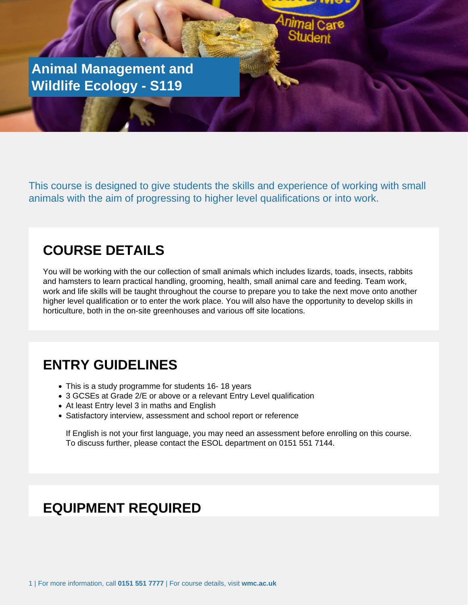**Animal Management and Wildlife Ecology - S119**

Or Application Form to be returned to Student Services

This course is designed to give students the skills and experience of working with small animals with the aim of progressing to higher level qualifications or into work.

## **COURSE DETAILS**

You will be working with the our collection of small animals which includes lizards, toads, insects, rabbits and hamsters to learn practical handling, grooming, health, small animal care and feeding. Team work, work and life skills will be taught throughout the course to prepare you to take the next move onto another higher level qualification or to enter the work place. You will also have the opportunity to develop skills in horticulture, both in the on-site greenhouses and various off site locations.

#### **ENTRY GUIDELINES**

- This is a study programme for students 16- 18 years
- 3 GCSEs at Grade 2/E or above or a relevant Entry Level qualification
- At least Entry level 3 in maths and English
- Satisfactory interview, assessment and school report or reference

If English is not your first language, you may need an assessment before enrolling on this course. To discuss further, please contact the ESOL department on 0151 551 7144.

#### **EQUIPMENT REQUIRED**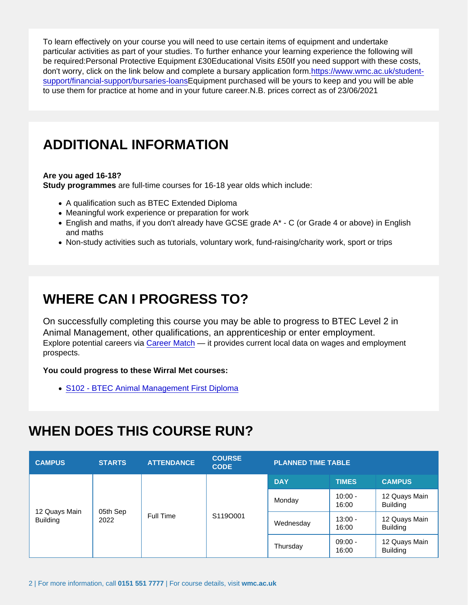To learn effectively on your course you will need to use certain items of equipment and undertake particular activities as part of your studies. To further enhance your learning experience the following will be required:Personal Protective Equipment £30Educational Visits £50If you need support with these costs, don't worry, click on the link below and complete a bursary application form[.https://www.wmc.ac.uk/student](�� h t t p s : / / w w w . w m c . a c . u k / s t u d e n t - s u p p o r t / f i n a n c i a l - s u p p o r t / b u r s a r i e s - l o a n s)[support/financial-support/bursaries-loansE](�� h t t p s : / / w w w . w m c . a c . u k / s t u d e n t - s u p p o r t / f i n a n c i a l - s u p p o r t / b u r s a r i e s - l o a n s)quipment purchased will be yours to keep and you will be able to use them for practice at home and in your future career.N.B. prices correct as of 23/06/2021

## ADDITIONAL INFORMATION

Are you aged 16-18?

Study programmes are full-time courses for 16-18 year olds which include:

- A qualification such as BTEC Extended Diploma
- Meaningful work experience or preparation for work
- English and maths, if you don't already have GCSE grade A\* C (or Grade 4 or above) in English and maths
- Non-study activities such as tutorials, voluntary work, fund-raising/charity work, sport or trips

# WHERE CAN I PROGRESS TO?

On successfully completing this course you may be able to progress to BTEC Level 2 in Animal Management, other qualifications, an apprenticeship or enter employment. Explore potential careers via [Career Match](�� h t t p s : / / w w w . w m c . a c . u k / c a r e e r - m a t c h /) — it provides current local data on wages and employment prospects.

You could progress to these Wirral Met courses:

[S102 - BTEC Animal Management First Diploma](�� h t t p s : / / w w w . w m c . a c . u k / c o u r s e . p h p ? i d = S 1 0 2)

# WHEN DOES THIS COURSE RUN?

| <b>CAMPUS</b>                    | <b>STARTS</b>    | <b>ATTENDANCE</b> | <b>COURSE</b><br><b>CODE</b> | PLANNED TIME TABLE |                    |                                  |
|----------------------------------|------------------|-------------------|------------------------------|--------------------|--------------------|----------------------------------|
| 12 Quays Main<br><b>Building</b> | 05th Sep<br>2022 | Full Time         | S119O001                     | <b>DAY</b>         | <b>TIMES</b>       | <b>CAMPUS</b>                    |
|                                  |                  |                   |                              | Monday             | $10:00 -$<br>16:00 | 12 Quays Main<br><b>Building</b> |
|                                  |                  |                   |                              | Wednesday          | $13:00 -$<br>16:00 | 12 Quays Main<br><b>Building</b> |
|                                  |                  |                   |                              | Thursday           | $09:00 -$<br>16:00 | 12 Quays Main<br><b>Building</b> |